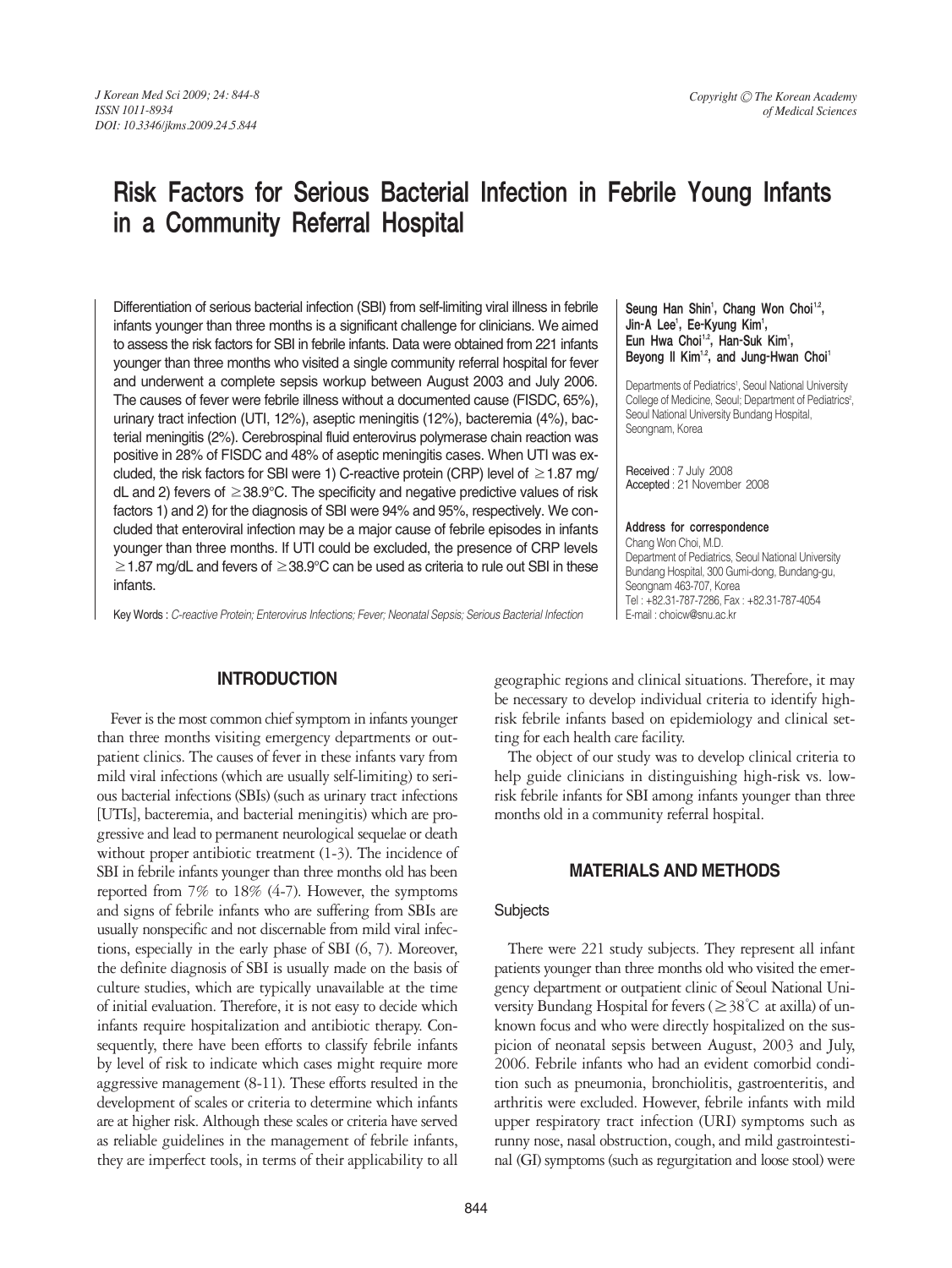# Risk Factors for Serious Bacterial Infection in Febrile Young Infants in a Community Referral Hospital

Differentiation of serious bacterial infection (SBI) from self-limiting viral illness in febrile infants younger than three months is a significant challenge for clinicians. We aimed to assess the risk factors for SBI in febrile infants. Data were obtained from 221 infants younger than three months who visited a single community referral hospital for fever and underwent a complete sepsis workup between August 2003 and July 2006. The causes of fever were febrile illness without a documented cause (FISDC, 65%), urinary tract infection (UTI, 12%), aseptic meningitis (12%), bacteremia (4%), bacterial meningitis (2%). Cerebrospinal fluid enterovirus polymerase chain reaction was positive in 28% of FISDC and 48% of aseptic meningitis cases. When UTI was excluded, the risk factors for SBI were 1) C-reactive protein (CRP) level of  $\geq$  1.87 mg/ dL and 2) fevers of ≥38.9°C. The specificity and negative predictive values of risk factors 1) and 2) for the diagnosis of SBI were 94% and 95%, respectively. We concluded that enteroviral infection may be a major cause of febrile episodes in infants younger than three months. If UTI could be excluded, the presence of CRP levels  $\geq$  1.87 mg/dL and fevers of  $\geq$  38.9°C can be used as criteria to rule out SBI in these infants.

Key Words : *C-reactive Protein; Enterovirus Infections; Fever; Neonatal Sepsis; Serious Bacterial Infection*

## **INTRODUCTION**

Fever is the most common chief symptom in infants younger than three months visiting emergency departments or outpatient clinics. The causes of fever in these infants vary from mild viral infections (which are usually self-limiting) to serious bacterial infections (SBIs) (such as urinary tract infections [UTIs], bacteremia, and bacterial meningitis) which are progressive and lead to permanent neurological sequelae or death without proper antibiotic treatment  $(1-3)$ . The incidence of SBI in febrile infants younger than three months old has been reported from 7% to 18% (4-7). However, the symptoms and signs of febrile infants who are suffering from SBIs are usually nonspecific and not discernable from mild viral infections, especially in the early phase of SBI (6, 7). Moreover, the definite diagnosis of SBI is usually made on the basis of culture studies, which are typically unavailable at the time of initial evaluation. Therefore, it is not easy to decide which infants require hospitalization and antibiotic therapy. Consequently, there have been efforts to classify febrile infants by level of risk to indicate which cases might require more aggressive management (8-11). These efforts resulted in the development of scales or criteria to determine which infants are at higher risk. Although these scales or criteria have served as reliable guidelines in the management of febrile infants, they are imperfect tools, in terms of their applicability to all

Seung Han Shin<sup>1</sup>, Chang Won Choi<sup>1,2</sup>, Jin-A Lee', Ee-Kyung Kim', Eun Hwa Choi<sup>na</sup>, Han-Suk Kim<sup>1</sup>, Beyong II Kim<sup>1,2</sup>, and Jung-Hwan Choi<sup>1</sup>

Departments of Pediatrics<sup>1</sup>, Seoul National University College of Medicine, Seoul; Department of Pediatrics<sup>2</sup>, Seoul National University Bundang Hospital, Seongnam, Korea

Received : 7 July 2008 Accepted : 21 November 2008

#### Address for correspondence

Chang Won Choi, M.D. Department of Pediatrics, Seoul National University Bundang Hospital, 300 Gumi-dong, Bundang-gu, Seongnam 463-707, Korea Tel : +82.31-787-7286, Fax : +82.31-787-4054 E-mail : choicw@snu.ac.kr

geographic regions and clinical situations. Therefore, it may be necessary to develop individual criteria to identify highrisk febrile infants based on epidemiology and clinical setting for each health care facility.

The object of our study was to develop clinical criteria to help guide clinicians in distinguishing high-risk vs. lowrisk febrile infants for SBI among infants younger than three months old in a community referral hospital.

### **MATERIALS AND METHODS**

## **Subjects**

There were 221 study subjects. They represent all infant patients younger than three months old who visited the emergency department or outpatient clinic of Seoul National University Bundang Hospital for fevers ( $\geq$  38°C at axilla) of unknown focus and who were directly hospitalized on the suspicion of neonatal sepsis between August, 2003 and July, 2006. Febrile infants who had an evident comorbid condition such as pneumonia, bronchiolitis, gastroenteritis, and arthritis were excluded. However, febrile infants with mild upper respiratory tract infection (URI) symptoms such as runny nose, nasal obstruction, cough, and mild gastrointestinal (GI) symptoms (such as regurgitation and loose stool) were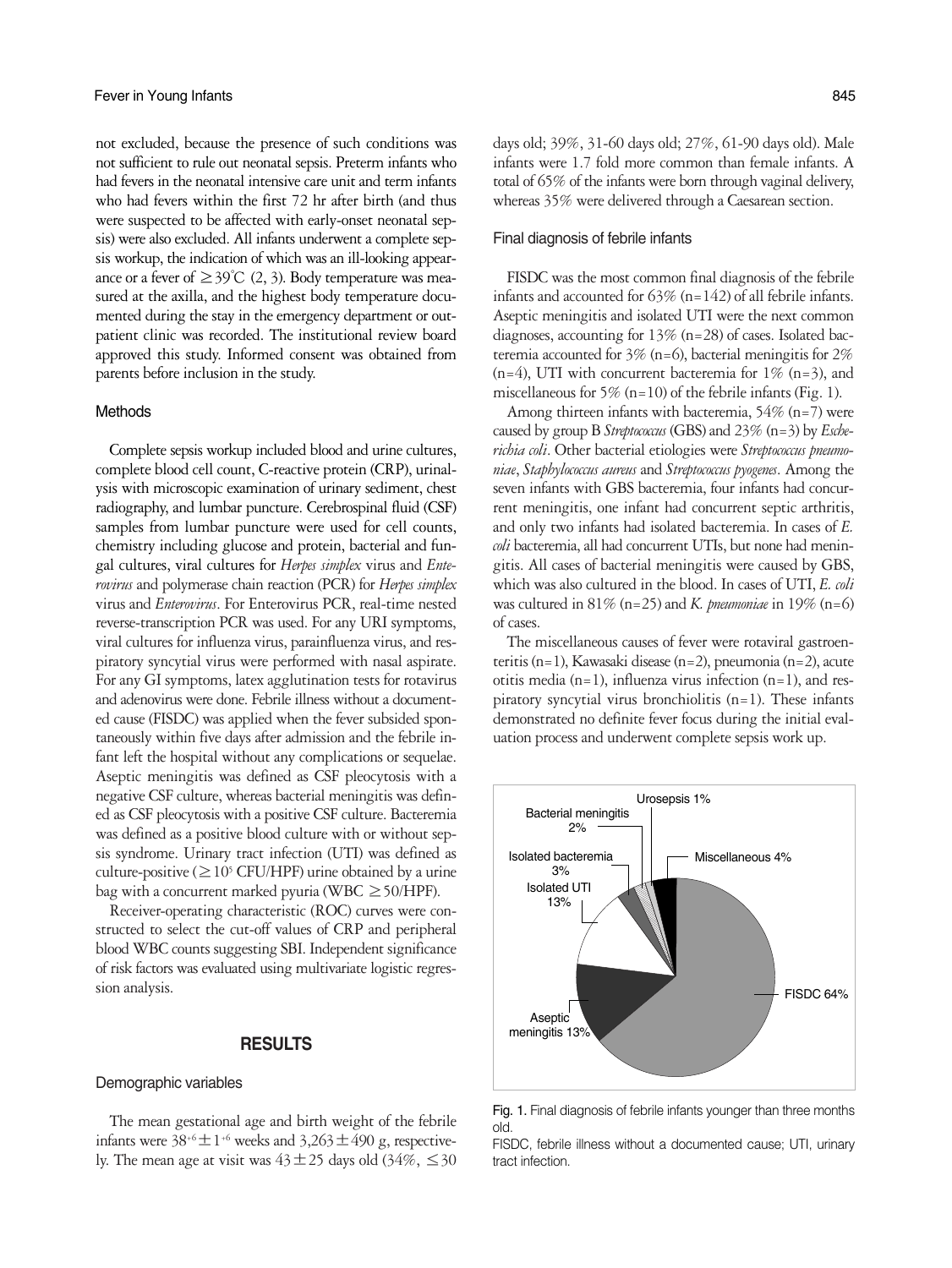not excluded, because the presence of such conditions was not sufficient to rule out neonatal sepsis. Preterm infants who had fevers in the neonatal intensive care unit and term infants who had fevers within the first 72 hr after birth (and thus were suspected to be affected with early-onset neonatal sepsis) were also excluded. All infants underwent a complete sepsis workup, the indication of which was an ill-looking appearance or a fever of  $\geq$  39°C (2, 3). Body temperature was measured at the axilla, and the highest body temperature documented during the stay in the emergency department or outpatient clinic was recorded. The institutional review board approved this study. Informed consent was obtained from parents before inclusion in the study.

### Methods

Complete sepsis workup included blood and urine cultures, complete blood cell count, C-reactive protein (CRP), urinalysis with microscopic examination of urinary sediment, chest radiography, and lumbar puncture. Cerebrospinal fluid (CSF) samples from lumbar puncture were used for cell counts, chemistry including glucose and protein, bacterial and fungal cultures, viral cultures for *Herpes simplex* virus and *Enterovirus* and polymerase chain reaction (PCR) for *Herpes simplex* virus and *Enterovirus*. For Enterovirus PCR, real-time nested reverse-transcription PCR was used. For any URI symptoms, viral cultures for influenza virus, parainfluenza virus, and respiratory syncytial virus were performed with nasal aspirate. For any GI symptoms, latex agglutination tests for rotavirus and adenovirus were done. Febrile illness without a documented cause (FISDC) was applied when the fever subsided spontaneously within five days after admission and the febrile infant left the hospital without any complications or sequelae. Aseptic meningitis was defined as CSF pleocytosis with a negative CSF culture, whereas bacterial meningitis was defined as CSF pleocytosis with a positive CSF culture. Bacteremia was defined as a positive blood culture with or without sepsis syndrome. Urinary tract infection (UTI) was defined as culture-positive ( $\geq 10^5$  CFU/HPF) urine obtained by a urine bag with a concurrent marked pyuria (WBC  $\geq$  50/HPF).

Receiver-operating characteristic (ROC) curves were constructed to select the cut-off values of CRP and peripheral blood WBC counts suggesting SBI. Independent significance of risk factors was evaluated using multivariate logistic regression analysis.

# **RESULTS**

## Demographic variables

The mean gestational age and birth weight of the febrile infants were  $38^{+6} \pm 1^{+6}$  weeks and  $3,263 \pm 490$  g, respectively. The mean age at visit was  $43 \pm 25$  days old  $(34\%, \leq 30)$ 

days old; 39%, 31-60 days old; 27%, 61-90 days old). Male infants were 1.7 fold more common than female infants. A total of 65% of the infants were born through vaginal delivery, whereas 35% were delivered through a Caesarean section.

#### Final diagnosis of febrile infants

FISDC was the most common final diagnosis of the febrile infants and accounted for 63% (n=142) of all febrile infants. Aseptic meningitis and isolated UTI were the next common diagnoses, accounting for 13% (n=28) of cases. Isolated bacteremia accounted for  $3\%$  (n=6), bacterial meningitis for  $2\%$  $(n=4)$ , UTI with concurrent bacteremia for  $1\%$   $(n=3)$ , and miscellaneous for  $5\%$  (n=10) of the febrile infants (Fig. 1).

Among thirteen infants with bacteremia, 54% (n=7) were caused by group B *Streptococcus* (GBS) and 23% (n=3) by *Escherichia coli*. Other bacterial etiologies were *Streptococcus pneumoniae*, *Staphylococcus aureus* and *Streptococcus pyogenes*. Among the seven infants with GBS bacteremia, four infants had concurrent meningitis, one infant had concurrent septic arthritis, and only two infants had isolated bacteremia. In cases of *E. coli* bacteremia, all had concurrent UTIs, but none had meningitis. All cases of bacterial meningitis were caused by GBS, which was also cultured in the blood. In cases of UTI, *E. coli* was cultured in 81% (n=25) and *K. pneumoniae* in 19% (n=6) of cases.

The miscellaneous causes of fever were rotaviral gastroenteritis (n=1), Kawasaki disease (n=2), pneumonia (n=2), acute otitis media  $(n=1)$ , influenza virus infection  $(n=1)$ , and respiratory syncytial virus bronchiolitis (n=1). These infants demonstrated no definite fever focus during the initial evaluation process and underwent complete sepsis work up.



Fig. 1. Final diagnosis of febrile infants younger than three months old.

FISDC, febrile illness without a documented cause; UTI, urinary tract infection.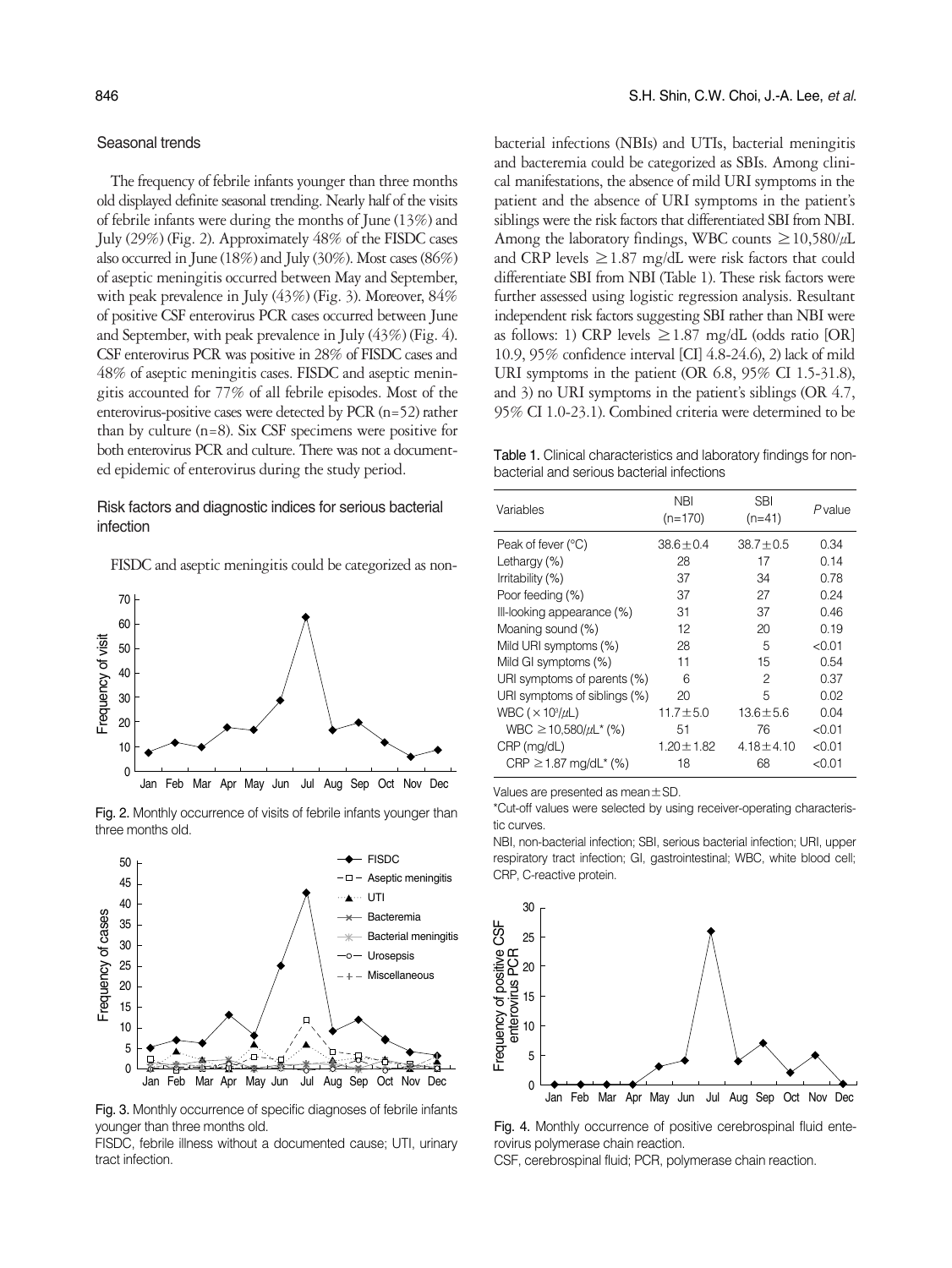#### Seasonal trends

The frequency of febrile infants younger than three months old displayed definite seasonal trending. Nearly half of the visits of febrile infants were during the months of June (13%) and July (29%) (Fig. 2). Approximately 48% of the FISDC cases also occurred in June (18%) and July (30%). Most cases (86%) of aseptic meningitis occurred between May and September, with peak prevalence in July (43%) (Fig. 3). Moreover, 84% of positive CSF enterovirus PCR cases occurred between June and September, with peak prevalence in July (43%) (Fig. 4). CSF enterovirus PCR was positive in 28% of FISDC cases and 48% of aseptic meningitis cases. FISDC and aseptic meningitis accounted for 77% of all febrile episodes. Most of the enterovirus-positive cases were detected by PCR (n=52) rather than by culture (n=8). Six CSF specimens were positive for both enterovirus PCR and culture. There was not a documented epidemic of enterovirus during the study period.

# Risk factors and diagnostic indices for serious bacterial infection

FISDC and aseptic meningitis could be categorized as non-







Fig. 3. Monthly occurrence of specific diagnoses of febrile infants younger than three months old.

FISDC, febrile illness without a documented cause; UTI, urinary

bacterial infections (NBIs) and UTIs, bacterial meningitis and bacteremia could be categorized as SBIs. Among clinical manifestations, the absence of mild URI symptoms in the patient and the absence of URI symptoms in the patient's siblings were the risk factors that differentiated SBI from NBI. Among the laboratory findings, WBC counts  $\geq$  10,580/ $\mu$ L and CRP levels  $\geq$  1.87 mg/dL were risk factors that could differentiate SBI from NBI (Table 1). These risk factors were further assessed using logistic regression analysis. Resultant independent risk factors suggesting SBI rather than NBI were as follows: 1) CRP levels  $\geq$  1.87 mg/dL (odds ratio [OR] 10.9, 95% confidence interval [CI] 4.8-24.6), 2) lack of mild URI symptoms in the patient (OR 6.8, 95% CI 1.5-31.8), and 3) no URI symptoms in the patient's siblings (OR 4.7, 95% CI 1.0-23.1). Combined criteria were determined to be

Table 1. Clinical characteristics and laboratory findings for nonbacterial and serious bacterial infections

| <b>NBI</b><br>$(n=170)$ | SBI<br>$(n=41)$ | $P$ value |
|-------------------------|-----------------|-----------|
| $38.6 \pm 0.4$          | $38.7 \pm 0.5$  | 0.34      |
| 28                      | 17              | 0.14      |
| 37                      | 34              | 0.78      |
| 37                      | 27              | 0.24      |
| 31                      | 37              | 0.46      |
| 12                      | 20              | 0.19      |
| 28                      | 5               | < 0.01    |
| 11                      | 15              | 0.54      |
| 6                       | 2               | 0.37      |
| 20                      | 5               | 0.02      |
| $11.7 \pm 5.0$          | $13.6 \pm 5.6$  | 0.04      |
| 51                      | 76              | < 0.01    |
| $1.20 \pm 1.82$         | $4.18 \pm 4.10$ | < 0.01    |
| 18                      | 68              | <0.01     |
|                         |                 |           |

Values are presented as mean±SD.

\*Cut-off values were selected by using receiver-operating characteristic curves.

NBI, non-bacterial infection; SBI, serious bacterial infection; URI, upper respiratory tract infection; GI, gastrointestinal; WBC, white blood cell; CRP, C-reactive protein.



Fig. 4. Monthly occurrence of positive cerebrospinal fluid enterovirus polymerase chain reaction.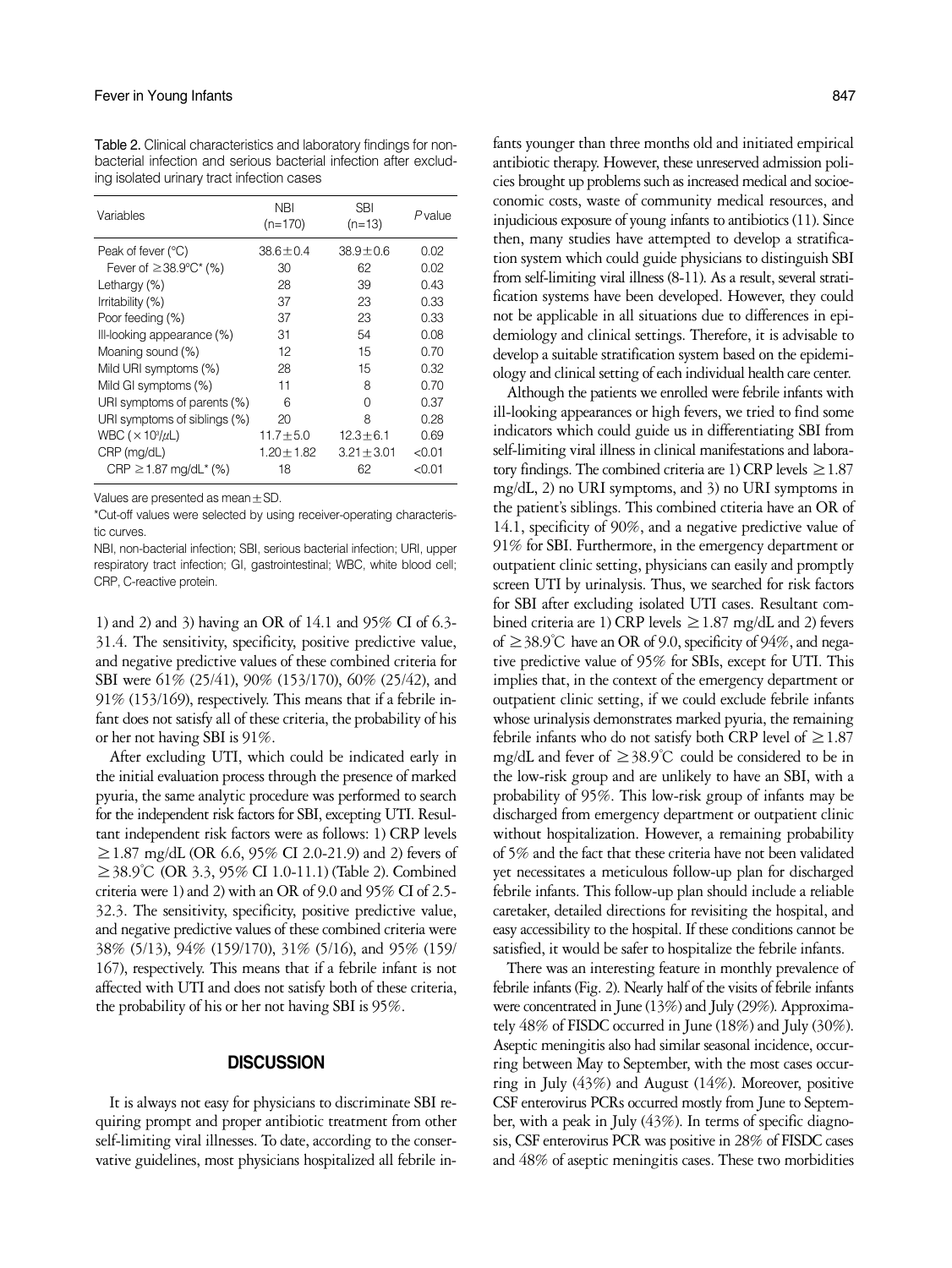Table 2. Clinical characteristics and laboratory findings for nonbacterial infection and serious bacterial infection after excluding isolated urinary tract infection cases

| Variables                                 | NBI<br>$(n=170)$ | SBI<br>$(n=13)$ | $P$ value |
|-------------------------------------------|------------------|-----------------|-----------|
| Peak of fever (°C)                        | $38.6 \pm 0.4$   | $38.9 \pm 0.6$  | 0.02      |
| Fever of $\geq$ 38.9°C* (%)               | 30               | 62              | 0.02      |
| Lethargy (%)                              | 28               | 39              | 0.43      |
| Irritability (%)                          | 37               | 23              | 0.33      |
| Poor feeding (%)                          | 37               | 23              | 0.33      |
| Ill-looking appearance (%)                | 31               | 54              | 0.08      |
| Moaning sound (%)                         | 12               | 15              | 0.70      |
| Mild URI symptoms (%)                     | 28               | 15              | 0.32      |
| Mild GI symptoms (%)                      | 11               | 8               | 0.70      |
| URI symptoms of parents (%)               | 6                | N               | 0.37      |
| URI symptoms of siblings (%)              | 20               | 8               | 0.28      |
| WBC ( $\times$ 10 <sup>3</sup> / $\mu$ L) | $11.7 + 5.0$     | $12.3 \pm 6.1$  | 0.69      |
| $CRP$ (mg/dL)                             | $1.20 \pm 1.82$  | $3.21 \pm 3.01$ | < 0.01    |
| $CRP \ge 1.87$ mg/dL* (%)                 | 18               | 62              | <0.01     |

Values are presented as mean±SD.

\*Cut-off values were selected by using receiver-operating characteristic curves.

NBI, non-bacterial infection; SBI, serious bacterial infection; URI, upper respiratory tract infection; GI, gastrointestinal; WBC, white blood cell; CRP, C-reactive protein.

1) and 2) and 3) having an OR of 14.1 and 95% CI of 6.3- 31.4. The sensitivity, specificity, positive predictive value, and negative predictive values of these combined criteria for SBI were 61% (25/41), 90% (153/170), 60% (25/42), and 91% (153/169), respectively. This means that if a febrile infant does not satisfy all of these criteria, the probability of his or her not having SBI is 91%.

After excluding UTI, which could be indicated early in the initial evaluation process through the presence of marked pyuria, the same analytic procedure was performed to search for the independent risk factors for SBI, excepting UTI. Resultant independent risk factors were as follows: 1) CRP levels  $\geq$  1.87 mg/dL (OR 6.6, 95% CI 2.0-21.9) and 2) fevers of ≥38.9℃ (OR 3.3, 95% CI 1.0-11.1) (Table 2). Combined criteria were 1) and 2) with an OR of 9.0 and 95% CI of 2.5- 32.3. The sensitivity, specificity, positive predictive value, and negative predictive values of these combined criteria were 38% (5/13), 94% (159/170), 31% (5/16), and 95% (159/ 167), respectively. This means that if a febrile infant is not affected with UTI and does not satisfy both of these criteria, the probability of his or her not having SBI is 95%.

# **DISCUSSION**

It is always not easy for physicians to discriminate SBI requiring prompt and proper antibiotic treatment from other self-limiting viral illnesses. To date, according to the conservative guidelines, most physicians hospitalized all febrile in-

fants younger than three months old and initiated empirical antibiotic therapy. However, these unreserved admission policies brought up problems such as increased medical and socioeconomic costs, waste of community medical resources, and injudicious exposure of young infants to antibiotics (11). Since then, many studies have attempted to develop a stratification system which could guide physicians to distinguish SBI from self-limiting viral illness (8-11). As a result, several stratification systems have been developed. However, they could not be applicable in all situations due to differences in epidemiology and clinical settings. Therefore, it is advisable to develop a suitable stratification system based on the epidemiology and clinical setting of each individual health care center.

Although the patients we enrolled were febrile infants with ill-looking appearances or high fevers, we tried to find some indicators which could guide us in differentiating SBI from self-limiting viral illness in clinical manifestations and laboratory findings. The combined criteria are 1) CRP levels  $\geq$  1.87 mg/dL, 2) no URI symptoms, and 3) no URI symptoms in the patient's siblings. This combined ctiteria have an OR of 14.1, specificity of 90%, and a negative predictive value of 91% for SBI. Furthermore, in the emergency department or outpatient clinic setting, physicians can easily and promptly screen UTI by urinalysis. Thus, we searched for risk factors for SBI after excluding isolated UTI cases. Resultant combined criteria are 1) CRP levels  $\geq$  1.87 mg/dL and 2) fevers of  $\geq$  38.9°C have an OR of 9.0, specificity of 94%, and negative predictive value of 95% for SBIs, except for UTI. This implies that, in the context of the emergency department or outpatient clinic setting, if we could exclude febrile infants whose urinalysis demonstrates marked pyuria, the remaining febrile infants who do not satisfy both CRP level of  $\geq 1.87$ mg/dL and fever of  $\geq$  38.9°C could be considered to be in the low-risk group and are unlikely to have an SBI, with a probability of 95%. This low-risk group of infants may be discharged from emergency department or outpatient clinic without hospitalization. However, a remaining probability of 5% and the fact that these criteria have not been validated yet necessitates a meticulous follow-up plan for discharged febrile infants. This follow-up plan should include a reliable caretaker, detailed directions for revisiting the hospital, and easy accessibility to the hospital. If these conditions cannot be satisfied, it would be safer to hospitalize the febrile infants.

There was an interesting feature in monthly prevalence of febrile infants (Fig. 2). Nearly half of the visits of febrile infants were concentrated in June (13%) and July (29%). Approximately 48% of FISDC occurred in June (18%) and July (30%). Aseptic meningitis also had similar seasonal incidence, occurring between May to September, with the most cases occurring in July (43%) and August (14%). Moreover, positive CSF enterovirus PCRs occurred mostly from June to September, with a peak in July (43%). In terms of specific diagnosis, CSF enterovirus PCR was positive in 28% of FISDC cases and 48% of aseptic meningitis cases. These two morbidities